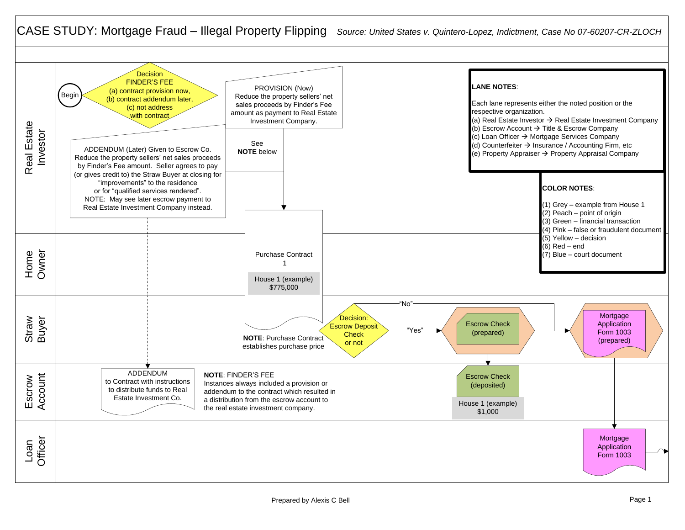## CASE STUDY: Mortgage Fraud – Illegal Property Flipping *Source: United States v. Quintero-Lopez, Indictment, Case No 07-60207-CR-ZLOCH*

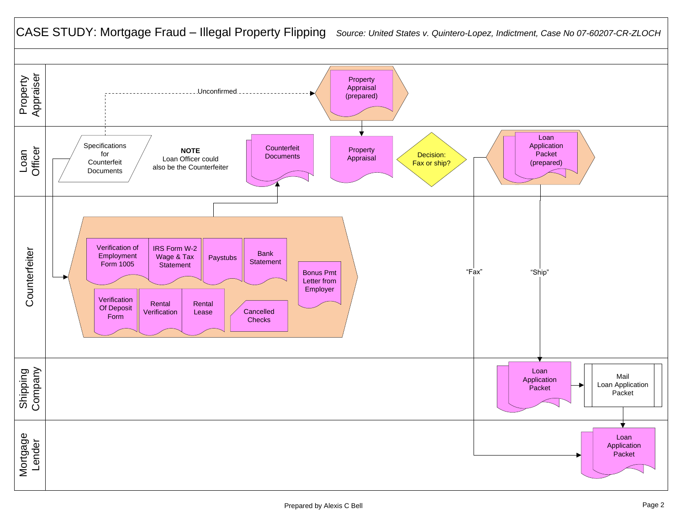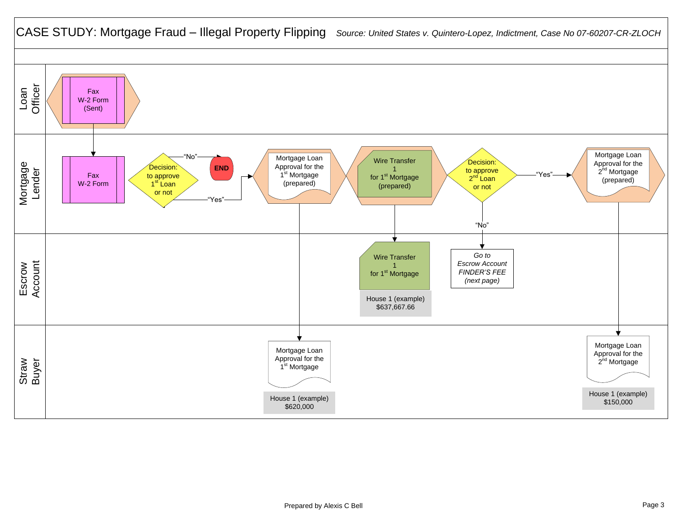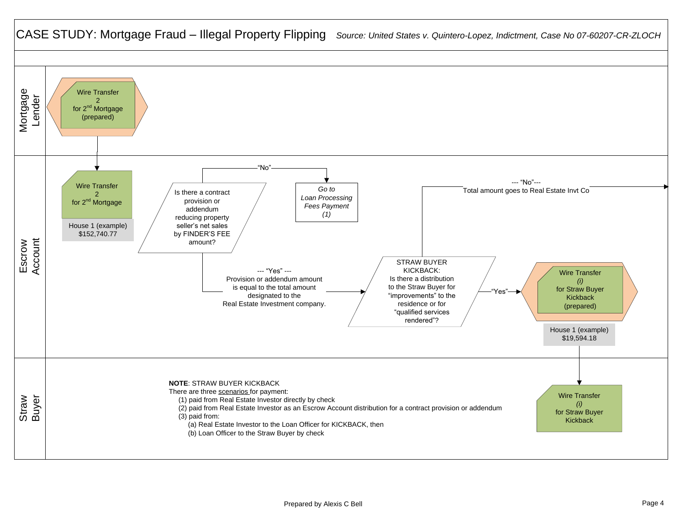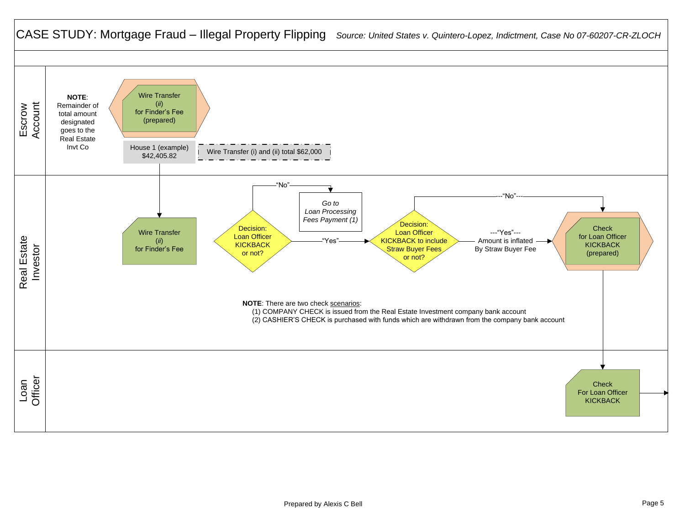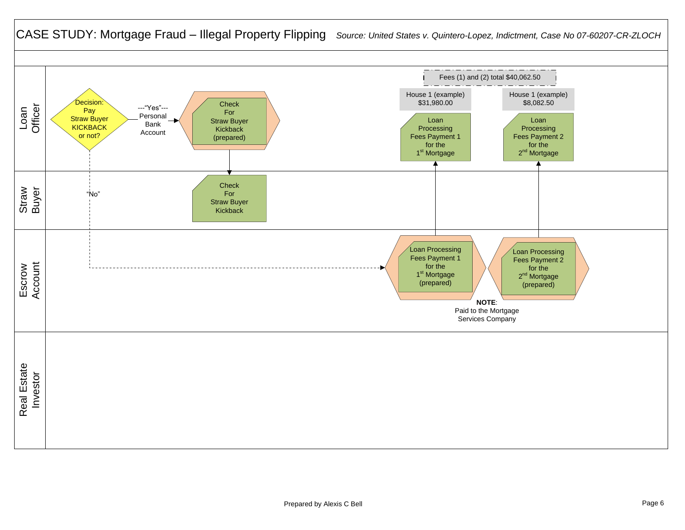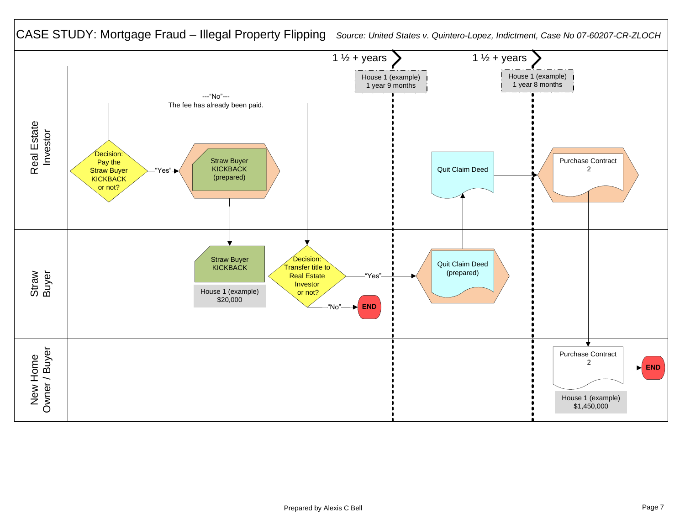